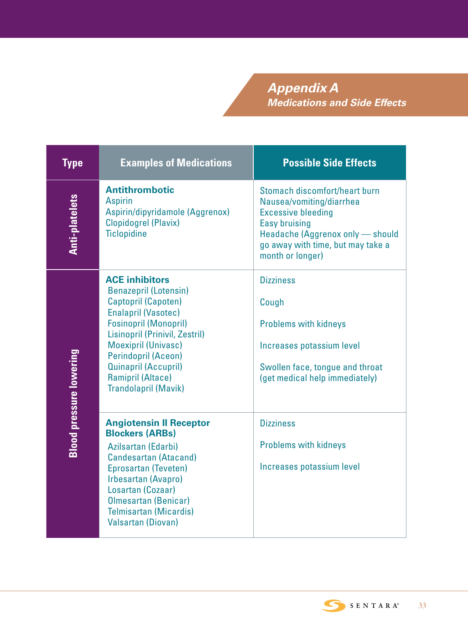*Appendix A Medications and Side Effects*

| <b>Type</b>                    | <b>Examples of Medications</b>                                                                                                                                                                                                                                                                                                     | <b>Possible Side Effects</b>                                                                                                                                                                                |
|--------------------------------|------------------------------------------------------------------------------------------------------------------------------------------------------------------------------------------------------------------------------------------------------------------------------------------------------------------------------------|-------------------------------------------------------------------------------------------------------------------------------------------------------------------------------------------------------------|
| <b>Anti-platelets</b>          | <b>Antithrombotic</b><br><b>Aspirin</b><br>Aspirin/dipyridamole (Aggrenox)<br><b>Clopidogrel (Plavix)</b><br><b>Ticlopidine</b>                                                                                                                                                                                                    | Stomach discomfort/heart burn<br>Nausea/vomiting/diarrhea<br><b>Excessive bleeding</b><br><b>Easy bruising</b><br>Headache (Aggrenox only - should<br>go away with time, but may take a<br>month or longer) |
| <b>Blood pressure lowering</b> | <b>ACE inhibitors</b><br><b>Benazepril (Lotensin)</b><br>Captopril (Capoten)<br><b>Enalapril (Vasotec)</b><br><b>Fosinopril (Monopril)</b><br>Lisinopril (Prinivil, Zestril)<br><b>Moexipril (Univasc)</b><br><b>Perindopril (Aceon)</b><br><b>Quinapril (Accupril)</b><br><b>Ramipril (Altace)</b><br><b>Trandolapril (Mavik)</b> | <b>Dizziness</b><br>Cough<br><b>Problems with kidneys</b><br>Increases potassium level<br>Swollen face, tongue and throat<br>(get medical help immediately)                                                 |
|                                | <b>Angiotensin II Receptor</b><br><b>Blockers (ARBs)</b><br>Azilsartan (Edarbi)<br><b>Candesartan (Atacand)</b><br>Eprosartan (Teveten)<br>Irbesartan (Avapro)<br>Losartan (Cozaar)<br><b>Olmesartan (Benicar)</b><br><b>Telmisartan (Micardis)</b><br><b>Valsartan (Diovan)</b>                                                   | <b>Dizziness</b><br><b>Problems with kidneys</b><br>Increases potassium level                                                                                                                               |

SENTARA®

33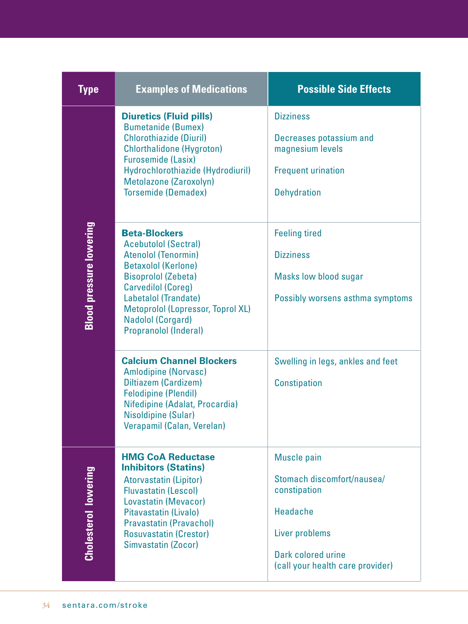| <b>Type</b>                    | <b>Examples of Medications</b>                                                                                                                                                                                                                                                                      | <b>Possible Side Effects</b>                                                                                                                                    |
|--------------------------------|-----------------------------------------------------------------------------------------------------------------------------------------------------------------------------------------------------------------------------------------------------------------------------------------------------|-----------------------------------------------------------------------------------------------------------------------------------------------------------------|
| <b>Blood pressure lowering</b> | <b>Diuretics (Fluid pills)</b><br><b>Bumetanide (Bumex)</b><br><b>Chlorothiazide (Diuril)</b><br><b>Chlorthalidone (Hygroton)</b><br><b>Furosemide (Lasix)</b><br>Hydrochlorothiazide (Hydrodiuril)<br>Metolazone (Zaroxolyn)<br><b>Torsemide (Demadex)</b>                                         | <b>Dizziness</b><br>Decreases potassium and<br>magnesium levels<br><b>Frequent urination</b><br><b>Dehydration</b>                                              |
|                                | <b>Beta-Blockers</b><br><b>Acebutolol (Sectral)</b><br><b>Atenolol (Tenormin)</b><br><b>Betaxolol (Kerlone)</b><br><b>Bisoprolol (Zebeta)</b><br><b>Carvedilol (Coreg)</b><br>Labetalol (Trandate)<br>Metoprolol (Lopressor, Toprol XL)<br><b>Nadolol (Corgard)</b><br><b>Propranolol (Inderal)</b> | <b>Feeling tired</b><br><b>Dizziness</b><br>Masks low blood sugar<br>Possibly worsens asthma symptoms                                                           |
|                                | <b>Calcium Channel Blockers</b><br><b>Amlodipine (Norvasc)</b><br>Diltiazem (Cardizem)<br><b>Felodipine (Plendil)</b><br>Nifedipine (Adalat, Procardia)<br>Nisoldipine (Sular)<br>Verapamil (Calan, Verelan)                                                                                        | Swelling in legs, ankles and feet<br><b>Constipation</b>                                                                                                        |
| <b>Cholesterol lowering</b>    | <b>HMG CoA Reductase</b><br><b>Inhibitors (Statins)</b><br><b>Atorvastatin (Lipitor)</b><br><b>Fluvastatin (Lescol)</b><br>Lovastatin (Mevacor)<br>Pitavastatin (Livalo)<br><b>Pravastatin (Pravachol)</b><br><b>Rosuvastatin (Crestor)</b><br>Simvastatin (Zocor)                                  | <b>Muscle pain</b><br>Stomach discomfort/nausea/<br>constipation<br><b>Headache</b><br>Liver problems<br>Dark colored urine<br>(call your health care provider) |